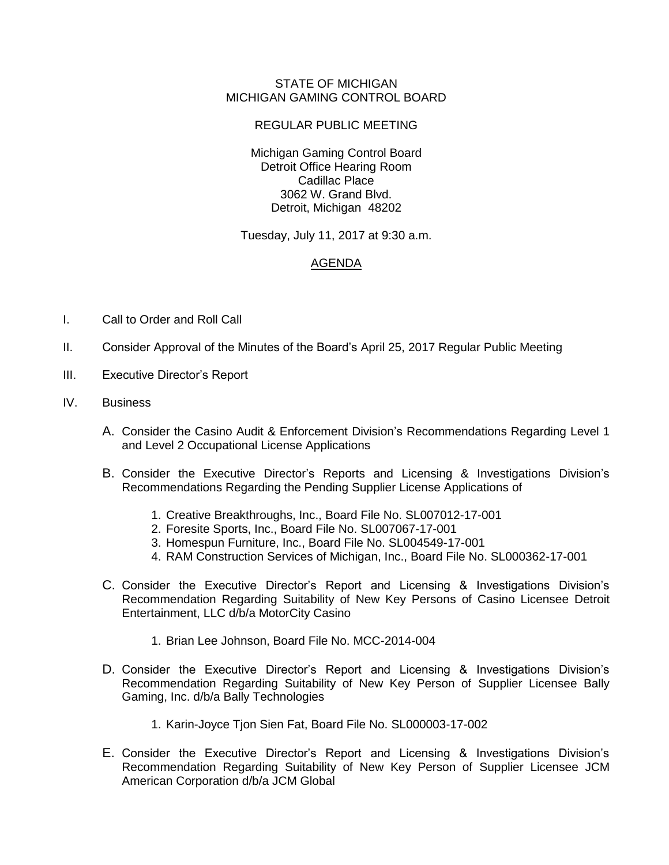## STATE OF MICHIGAN MICHIGAN GAMING CONTROL BOARD

## REGULAR PUBLIC MEETING

Michigan Gaming Control Board Detroit Office Hearing Room Cadillac Place 3062 W. Grand Blvd. Detroit, Michigan 48202

Tuesday, July 11, 2017 at 9:30 a.m.

## AGENDA

- I. Call to Order and Roll Call
- II. Consider Approval of the Minutes of the Board's April 25, 2017 Regular Public Meeting
- III. Executive Director's Report
- IV. Business
	- A. Consider the Casino Audit & Enforcement Division's Recommendations Regarding Level 1 and Level 2 Occupational License Applications
	- B. Consider the Executive Director's Reports and Licensing & Investigations Division's Recommendations Regarding the Pending Supplier License Applications of
		- 1. Creative Breakthroughs, Inc., Board File No. SL007012-17-001
		- 2. Foresite Sports, Inc., Board File No. SL007067-17-001
		- 3. Homespun Furniture, Inc., Board File No. SL004549-17-001
		- 4. RAM Construction Services of Michigan, Inc., Board File No. SL000362-17-001
	- C. Consider the Executive Director's Report and Licensing & Investigations Division's Recommendation Regarding Suitability of New Key Persons of Casino Licensee Detroit Entertainment, LLC d/b/a MotorCity Casino
		- 1. Brian Lee Johnson, Board File No. MCC-2014-004
	- D. Consider the Executive Director's Report and Licensing & Investigations Division's Recommendation Regarding Suitability of New Key Person of Supplier Licensee Bally Gaming, Inc. d/b/a Bally Technologies
		- 1. Karin-Joyce Tjon Sien Fat, Board File No. SL000003-17-002
	- E. Consider the Executive Director's Report and Licensing & Investigations Division's Recommendation Regarding Suitability of New Key Person of Supplier Licensee JCM American Corporation d/b/a JCM Global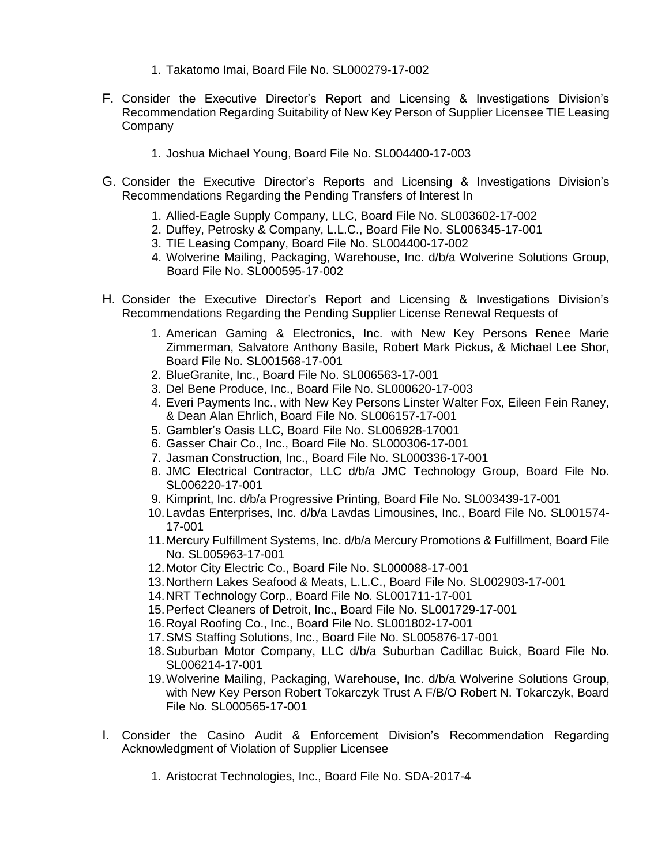- 1. Takatomo Imai, Board File No. SL000279-17-002
- F. Consider the Executive Director's Report and Licensing & Investigations Division's Recommendation Regarding Suitability of New Key Person of Supplier Licensee TIE Leasing Company
	- 1. Joshua Michael Young, Board File No. SL004400-17-003
- G. Consider the Executive Director's Reports and Licensing & Investigations Division's Recommendations Regarding the Pending Transfers of Interest In
	- 1. Allied-Eagle Supply Company, LLC, Board File No. SL003602-17-002
	- 2. Duffey, Petrosky & Company, L.L.C., Board File No. SL006345-17-001
	- 3. TIE Leasing Company, Board File No. SL004400-17-002
	- 4. Wolverine Mailing, Packaging, Warehouse, Inc. d/b/a Wolverine Solutions Group, Board File No. SL000595-17-002
- H. Consider the Executive Director's Report and Licensing & Investigations Division's Recommendations Regarding the Pending Supplier License Renewal Requests of
	- 1. American Gaming & Electronics, Inc. with New Key Persons Renee Marie Zimmerman, Salvatore Anthony Basile, Robert Mark Pickus, & Michael Lee Shor, Board File No. SL001568-17-001
	- 2. BlueGranite, Inc., Board File No. SL006563-17-001
	- 3. Del Bene Produce, Inc., Board File No. SL000620-17-003
	- 4. Everi Payments Inc., with New Key Persons Linster Walter Fox, Eileen Fein Raney, & Dean Alan Ehrlich, Board File No. SL006157-17-001
	- 5. Gambler's Oasis LLC, Board File No. SL006928-17001
	- 6. Gasser Chair Co., Inc., Board File No. SL000306-17-001
	- 7. Jasman Construction, Inc., Board File No. SL000336-17-001
	- 8. JMC Electrical Contractor, LLC d/b/a JMC Technology Group, Board File No. SL006220-17-001
	- 9. Kimprint, Inc. d/b/a Progressive Printing, Board File No. SL003439-17-001
	- 10.Lavdas Enterprises, Inc. d/b/a Lavdas Limousines, Inc., Board File No. SL001574- 17-001
	- 11.Mercury Fulfillment Systems, Inc. d/b/a Mercury Promotions & Fulfillment, Board File No. SL005963-17-001
	- 12.Motor City Electric Co., Board File No. SL000088-17-001
	- 13.Northern Lakes Seafood & Meats, L.L.C., Board File No. SL002903-17-001
	- 14.NRT Technology Corp., Board File No. SL001711-17-001
	- 15.Perfect Cleaners of Detroit, Inc., Board File No. SL001729-17-001
	- 16.Royal Roofing Co., Inc., Board File No. SL001802-17-001
	- 17.SMS Staffing Solutions, Inc., Board File No. SL005876-17-001
	- 18.Suburban Motor Company, LLC d/b/a Suburban Cadillac Buick, Board File No. SL006214-17-001
	- 19.Wolverine Mailing, Packaging, Warehouse, Inc. d/b/a Wolverine Solutions Group, with New Key Person Robert Tokarczyk Trust A F/B/O Robert N. Tokarczyk, Board File No. SL000565-17-001
- I. Consider the Casino Audit & Enforcement Division's Recommendation Regarding Acknowledgment of Violation of Supplier Licensee
	- 1. Aristocrat Technologies, Inc., Board File No. SDA-2017-4